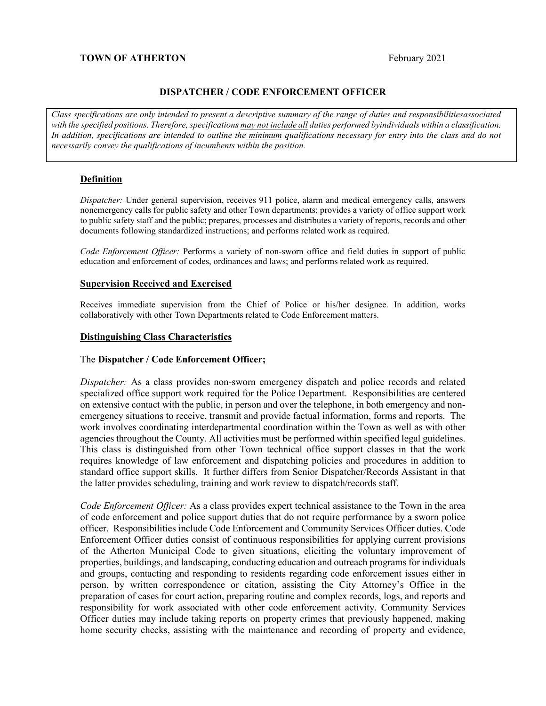#### **TOWN OF ATHERTON** Extended a set of the set of the set of the set of the set of the set of the set of the set of the set of the set of the set of the set of the set of the set of the set of the set of the set of the set o

#### **DISPATCHER / CODE ENFORCEMENT OFFICER**

*Class specifications are only intended to present a descriptive summary of the range of duties and responsibilitiesassociated with the specified positions. Therefore, specifications may not include all duties performed byindividuals within a classification. In addition, specifications are intended to outline the minimum qualifications necessary for entry into the class and do not necessarily convey the qualifications of incumbents within the position.*

#### **Definition**

*Dispatcher:* Under general supervision, receives 911 police, alarm and medical emergency calls, answers nonemergency calls for public safety and other Town departments; provides a variety of office support work to public safety staff and the public; prepares, processes and distributes a variety of reports, records and other documents following standardized instructions; and performs related work as required.

*Code Enforcement Officer:* Performs a variety of non-sworn office and field duties in support of public education and enforcement of codes, ordinances and laws; and performs related work as required.

#### **Supervision Received and Exercised**

Receives immediate supervision from the Chief of Police or his/her designee. In addition, works collaboratively with other Town Departments related to Code Enforcement matters.

#### **Distinguishing Class Characteristics**

#### The **Dispatcher / Code Enforcement Officer;**

*Dispatcher:* As a class provides non-sworn emergency dispatch and police records and related specialized office support work required for the Police Department. Responsibilities are centered on extensive contact with the public, in person and over the telephone, in both emergency and nonemergency situations to receive, transmit and provide factual information, forms and reports. The work involves coordinating interdepartmental coordination within the Town as well as with other agencies throughout the County. All activities must be performed within specified legal guidelines. This class is distinguished from other Town technical office support classes in that the work requires knowledge of law enforcement and dispatching policies and procedures in addition to standard office support skills. It further differs from Senior Dispatcher/Records Assistant in that the latter provides scheduling, training and work review to dispatch/records staff.

*Code Enforcement Officer:* As a class provides expert technical assistance to the Town in the area of code enforcement and police support duties that do not require performance by a sworn police officer. Responsibilities include Code Enforcement and Community Services Officer duties. Code Enforcement Officer duties consist of continuous responsibilities for applying current provisions of the Atherton Municipal Code to given situations, eliciting the voluntary improvement of properties, buildings, and landscaping, conducting education and outreach programs for individuals and groups, contacting and responding to residents regarding code enforcement issues either in person, by written correspondence or citation, assisting the City Attorney's Office in the preparation of cases for court action, preparing routine and complex records, logs, and reports and responsibility for work associated with other code enforcement activity. Community Services Officer duties may include taking reports on property crimes that previously happened, making home security checks, assisting with the maintenance and recording of property and evidence,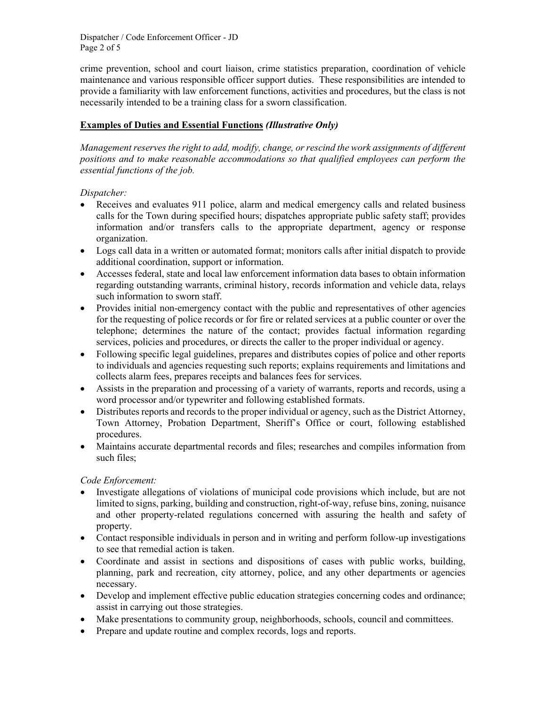Dispatcher / Code Enforcement Officer - JD Page 2 of 5

crime prevention, school and court liaison, crime statistics preparation, coordination of vehicle maintenance and various responsible officer support duties. These responsibilities are intended to provide a familiarity with law enforcement functions, activities and procedures, but the class is not necessarily intended to be a training class for a sworn classification.

# **Examples of Duties and Essential Functions** *(Illustrative Only)*

*Management reserves the right to add, modify, change, or rescind the work assignments of different positions and to make reasonable accommodations so that qualified employees can perform the essential functions of the job.*

# *Dispatcher:*

- Receives and evaluates 911 police, alarm and medical emergency calls and related business calls for the Town during specified hours; dispatches appropriate public safety staff; provides information and/or transfers calls to the appropriate department, agency or response organization.
- Logs call data in a written or automated format; monitors calls after initial dispatch to provide additional coordination, support or information.
- Accesses federal, state and local law enforcement information data bases to obtain information regarding outstanding warrants, criminal history, records information and vehicle data, relays such information to sworn staff.
- Provides initial non-emergency contact with the public and representatives of other agencies for the requesting of police records or for fire or related services at a public counter or over the telephone; determines the nature of the contact; provides factual information regarding services, policies and procedures, or directs the caller to the proper individual or agency.
- Following specific legal guidelines, prepares and distributes copies of police and other reports to individuals and agencies requesting such reports; explains requirements and limitations and collects alarm fees, prepares receipts and balances fees for services.
- Assists in the preparation and processing of a variety of warrants, reports and records, using a word processor and/or typewriter and following established formats.
- Distributes reports and records to the proper individual or agency, such as the District Attorney, Town Attorney, Probation Department, Sheriff's Office or court, following established procedures.
- Maintains accurate departmental records and files; researches and compiles information from such files;

# *Code Enforcement:*

- Investigate allegations of violations of municipal code provisions which include, but are not limited to signs, parking, building and construction, right-of-way, refuse bins, zoning, nuisance and other property-related regulations concerned with assuring the health and safety of property.
- Contact responsible individuals in person and in writing and perform follow-up investigations to see that remedial action is taken.
- Coordinate and assist in sections and dispositions of cases with public works, building, planning, park and recreation, city attorney, police, and any other departments or agencies necessary.
- Develop and implement effective public education strategies concerning codes and ordinance; assist in carrying out those strategies.
- Make presentations to community group, neighborhoods, schools, council and committees.
- Prepare and update routine and complex records, logs and reports.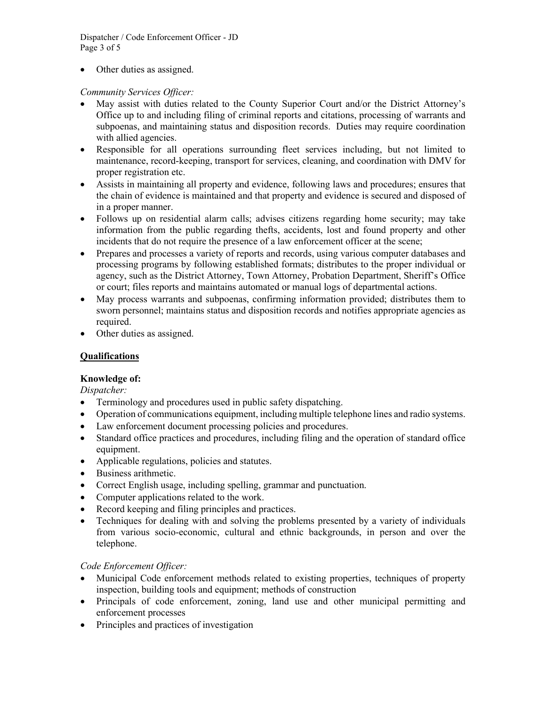Dispatcher / Code Enforcement Officer - JD Page 3 of 5

• Other duties as assigned.

*Community Services Officer:*

- May assist with duties related to the County Superior Court and/or the District Attorney's Office up to and including filing of criminal reports and citations, processing of warrants and subpoenas, and maintaining status and disposition records. Duties may require coordination with allied agencies.
- Responsible for all operations surrounding fleet services including, but not limited to maintenance, record-keeping, transport for services, cleaning, and coordination with DMV for proper registration etc.
- Assists in maintaining all property and evidence, following laws and procedures; ensures that the chain of evidence is maintained and that property and evidence is secured and disposed of in a proper manner.
- Follows up on residential alarm calls; advises citizens regarding home security; may take information from the public regarding thefts, accidents, lost and found property and other incidents that do not require the presence of a law enforcement officer at the scene;
- Prepares and processes a variety of reports and records, using various computer databases and processing programs by following established formats; distributes to the proper individual or agency, such as the District Attorney, Town Attorney, Probation Department, Sheriff's Office or court; files reports and maintains automated or manual logs of departmental actions.
- May process warrants and subpoenas, confirming information provided; distributes them to sworn personnel; maintains status and disposition records and notifies appropriate agencies as required.
- Other duties as assigned.

# **Qualifications**

# **Knowledge of:**

*Dispatcher:*

- Terminology and procedures used in public safety dispatching.
- Operation of communications equipment, including multiple telephone lines and radio systems.
- Law enforcement document processing policies and procedures.
- Standard office practices and procedures, including filing and the operation of standard office equipment.
- Applicable regulations, policies and statutes.
- Business arithmetic.
- Correct English usage, including spelling, grammar and punctuation.
- Computer applications related to the work.
- Record keeping and filing principles and practices.
- Techniques for dealing with and solving the problems presented by a variety of individuals from various socio-economic, cultural and ethnic backgrounds, in person and over the telephone.

# *Code Enforcement Officer:*

- Municipal Code enforcement methods related to existing properties, techniques of property inspection, building tools and equipment; methods of construction
- Principals of code enforcement, zoning, land use and other municipal permitting and enforcement processes
- Principles and practices of investigation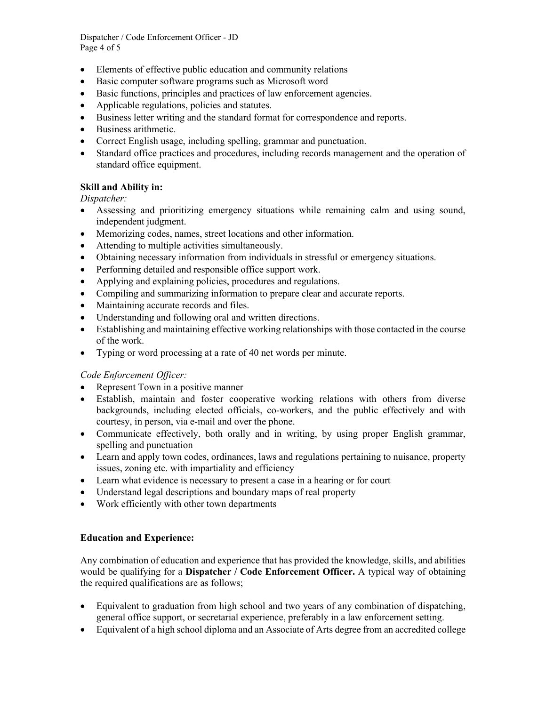Dispatcher / Code Enforcement Officer - JD Page 4 of 5

- Elements of effective public education and community relations
- Basic computer software programs such as Microsoft word
- Basic functions, principles and practices of law enforcement agencies.
- Applicable regulations, policies and statutes.
- Business letter writing and the standard format for correspondence and reports.
- Business arithmetic.
- Correct English usage, including spelling, grammar and punctuation.
- Standard office practices and procedures, including records management and the operation of standard office equipment.

## **Skill and Ability in:**

*Dispatcher:*

- Assessing and prioritizing emergency situations while remaining calm and using sound, independent judgment.
- Memorizing codes, names, street locations and other information.
- Attending to multiple activities simultaneously.
- Obtaining necessary information from individuals in stressful or emergency situations.
- Performing detailed and responsible office support work.
- Applying and explaining policies, procedures and regulations.
- Compiling and summarizing information to prepare clear and accurate reports.
- Maintaining accurate records and files.
- Understanding and following oral and written directions.
- Establishing and maintaining effective working relationships with those contacted in the course of the work.
- Typing or word processing at a rate of 40 net words per minute.

### *Code Enforcement Officer:*

- Represent Town in a positive manner
- Establish, maintain and foster cooperative working relations with others from diverse backgrounds, including elected officials, co-workers, and the public effectively and with courtesy, in person, via e-mail and over the phone.
- Communicate effectively, both orally and in writing, by using proper English grammar, spelling and punctuation
- Learn and apply town codes, ordinances, laws and regulations pertaining to nuisance, property issues, zoning etc. with impartiality and efficiency
- Learn what evidence is necessary to present a case in a hearing or for court
- Understand legal descriptions and boundary maps of real property
- Work efficiently with other town departments

### **Education and Experience:**

Any combination of education and experience that has provided the knowledge, skills, and abilities would be qualifying for a **Dispatcher / Code Enforcement Officer.** A typical way of obtaining the required qualifications are as follows;

- Equivalent to graduation from high school and two years of any combination of dispatching, general office support, or secretarial experience, preferably in a law enforcement setting.
- Equivalent of a high school diploma and an Associate of Arts degree from an accredited college